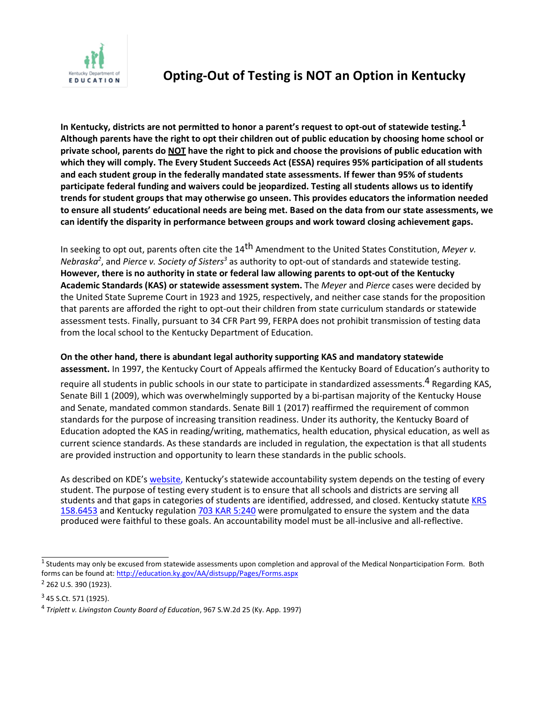

## **Opting-Out of Testing is NOT an Option in Kentucky**

**In Kentucky, districts are not permitted to honor a parent's request to opt-out of statewide testing.[1](#page-0-0) Although parents have the right to opt their children out of public education by choosing home school or private school, parents do NOT have the right to pick and choose the provisions of public education with which they will comply. The Every Student Succeeds Act (ESSA) requires 95% participation of all students and each student group in the federally mandated state assessments. If fewer than 95% of students participate federal funding and waivers could be jeopardized. Testing all students allows us to identify trends for student groups that may otherwise go unseen. This provides educators the information needed to ensure all students' educational needs are being met. Based on the data from our state assessments, we can identify the disparity in performance between groups and work toward closing achievement gaps.**

In seeking to opt out, parents often cite the 14th Amendment to the United States Constitution, *Meyer v. Nebrask[a2](#page-0-1)* , and *Pierce v. Society of Sister[s3](#page-0-2)* as authority to opt-out of standards and statewide testing. **However, there is no authority in state or federal law allowing parents to opt-out of the Kentucky Academic Standards (KAS) or statewide assessment system.** The *Meyer* and *Pierce* cases were decided by the United State Supreme Court in 1923 and 1925, respectively, and neither case stands for the proposition that parents are afforded the right to opt-out their children from state curriculum standards or statewide assessment tests. Finally, pursuant to 34 CFR Part 99, FERPA does not prohibit transmission of testing data from the local school to the Kentucky Department of Education.

## **On the other hand, there is abundant legal authority supporting KAS and mandatory statewide**

**assessment.** In 1997, the Kentucky Court of Appeals affirmed the Kentucky Board of Education's authority to

require all students in public schools in our state to participate in standardized assessments.<sup>4</sup> Regarding KAS, Senate Bill 1 (2009), which was overwhelmingly supported by a bi-partisan majority of the Kentucky House and Senate, mandated common standards. Senate Bill 1 (2017) reaffirmed the requirement of common standards for the purpose of increasing transition readiness. Under its authority, the Kentucky Board of Education adopted the KAS in reading/writing, mathematics, health education, physical education, as well as current science standards. As these standards are included in regulation, the expectation is that all students are provided instruction and opportunity to learn these standards in the public schools.

<span id="page-0-1"></span>As described on KDE's [website, K](https://education.ky.gov/AA/Assessments/Pages/default.aspx)entucky's statewide accountability system depends on the testing of every student. The purpose of testing every student is to ensure that all schools and districts are serving all students and that gaps in categories of students are identified, addressed, and closed. Kentucky statut[e KRS](https://apps.legislature.ky.gov/lrcsearch#tabs-3)  [158.6453](https://apps.legislature.ky.gov/lrcsearch#tabs-3) and Kentucky regulation [703 KAR 5:240](https://apps.legislature.ky.gov/law/kar/703/005/240.pdf) were promulgated to ensure the system and the data produced were faithful to these goals. An accountability model must be all-inclusive and all-reflective.

<span id="page-0-0"></span> $<sup>1</sup>$  Students may only be excused from statewide assessments upon completion and approval of the Medical Nonparticipation Form. Both</sup> forms can be found at:<http://education.ky.gov/AA/distsupp/Pages/Forms.aspx> <sup>2</sup> 262 U.S. 390 (1923).

<span id="page-0-2"></span><sup>3</sup> 45 S.Ct. 571 (1925).

<sup>4</sup> *Triplett v. Livingston County Board of Education*, 967 S.W.2d 25 (Ky. App. 1997)